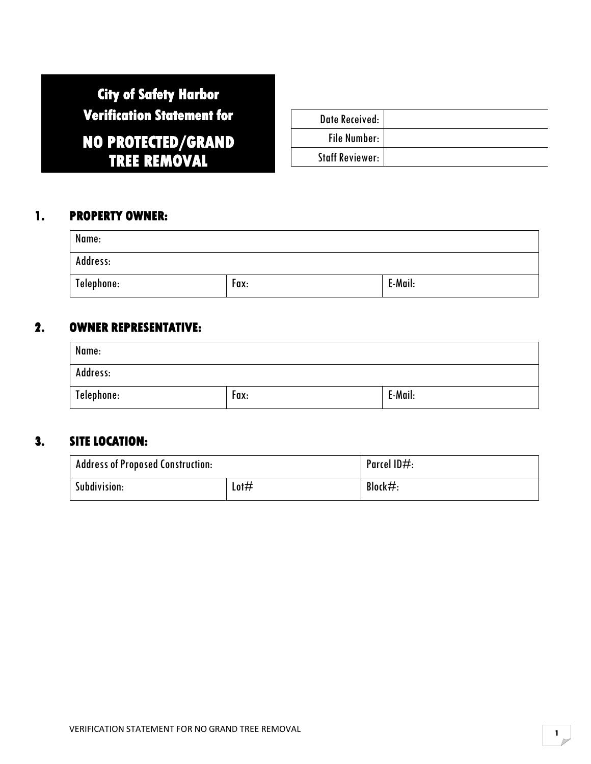# **City of Safety Harbor Verification Statement for NO PROTECTED/GRAND**

**TREE REMOVAL** 

Date Received: File Number: Staff Reviewer:

## **1. PROPERTY OWNER:**

| Name:      |      |         |
|------------|------|---------|
| Address:   |      |         |
| Telephone: | Fax: | E-Mail: |

## **2. OWNER REPRESENTATIVE:**

| Name:      |      |         |
|------------|------|---------|
| Address:   |      |         |
| Telephone: | Fax: | E-Mail: |

# **3. SITE LOCATION:**

| <b>Address of Proposed Construction:</b> |      | Parcel $ID#$ : |
|------------------------------------------|------|----------------|
| Subdivision:                             | Lot# | Block $#$ :    |